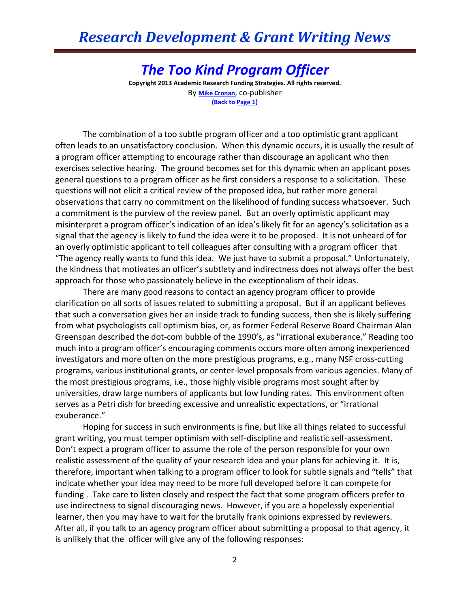## *Research Development & Grant Writing News*

*The Too Kind Program Officer* **Copyright 2013 Academic Research Funding Strategies. All rights reserved.** By **[Mike Cronan](mailto:mjcronan@gmail.com)**, co-publisher **(Back to Page 1)**

The combination of a too subtle program officer and a too optimistic grant applicant often leads to an unsatisfactory conclusion. When this dynamic occurs, it is usually the result of a program officer attempting to encourage rather than discourage an applicant who then exercises selective hearing. The ground becomes set for this dynamic when an applicant poses general questions to a program officer as he first considers a response to a solicitation. These questions will not elicit a critical review of the proposed idea, but rather more general observations that carry no commitment on the likelihood of funding success whatsoever. Such a commitment is the purview of the review panel. But an overly optimistic applicant may misinterpret a program officer's indication of an idea's likely fit for an agency's solicitation as a signal that the agency is likely to fund the idea were it to be proposed. It is not unheard of for an overly optimistic applicant to tell colleagues after consulting with a program officer that "The agency really wants to fund this idea. We just have to submit a proposal." Unfortunately, the kindness that motivates an officer's subtlety and indirectness does not always offer the best approach for those who passionately believe in the exceptionalism of their ideas.

There are many good reasons to contact an agency program officer to provide clarification on all sorts of issues related to submitting a proposal. But if an applicant believes that such a conversation gives her an inside track to funding success, then she is likely suffering from what psychologists call optimism bias, or, as former Federal Reserve Board Chairman Alan Greenspan described the dot-com bubble of the 1990's, as "irrational exuberance." Reading too much into a program officer's encouraging comments occurs more often among inexperienced investigators and more often on the more prestigious programs, e.g., many NSF cross-cutting programs, various institutional grants, or center-level proposals from various agencies. Many of the most prestigious programs, i.e., those highly visible programs most sought after by universities, draw large numbers of applicants but low funding rates. This environment often serves as a Petri dish for breeding excessive and unrealistic expectations, or "irrational exuberance."

Hoping for success in such environments is fine, but like all things related to successful grant writing, you must temper optimism with self-discipline and realistic self-assessment. Don't expect a program officer to assume the role of the person responsible for your own realistic assessment of the quality of your research idea and your plans for achieving it. It is, therefore, important when talking to a program officer to look for subtle signals and "tells" that indicate whether your idea may need to be more full developed before it can compete for funding . Take care to listen closely and respect the fact that some program officers prefer to use indirectness to signal discouraging news. However, if you are a hopelessly experiential learner, then you may have to wait for the brutally frank opinions expressed by reviewers. After all, if you talk to an agency program officer about submitting a proposal to that agency, it is unlikely that the officer will give any of the following responses: